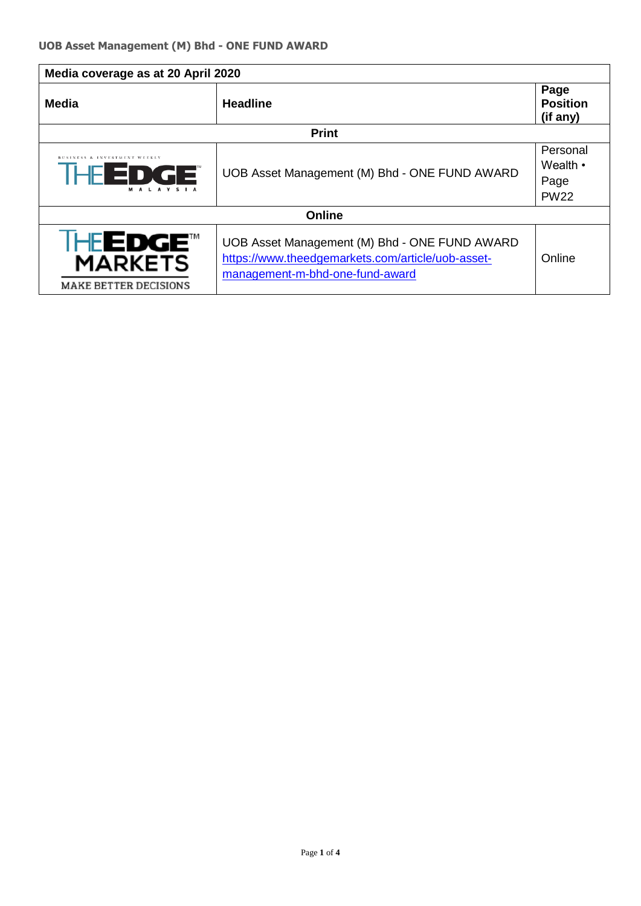| Media coverage as at 20 April 2020                                    |                                                                                                                                       |                                                   |  |  |
|-----------------------------------------------------------------------|---------------------------------------------------------------------------------------------------------------------------------------|---------------------------------------------------|--|--|
| Media                                                                 | <b>Headline</b>                                                                                                                       | Page<br><b>Position</b><br>(if any)               |  |  |
| <b>Print</b>                                                          |                                                                                                                                       |                                                   |  |  |
| <b>ISS &amp; INVESTMENT WEEKLY</b><br><b>EDGE</b><br>IHEI<br>MALAVSIA | UOB Asset Management (M) Bhd - ONE FUND AWARD                                                                                         | Personal<br>Wealth $\cdot$<br>Page<br><b>PW22</b> |  |  |
| Online                                                                |                                                                                                                                       |                                                   |  |  |
| <b>HEEDGE™</b><br><b>MARKETS</b><br><b>MAKE BETTER DECISIONS</b>      | UOB Asset Management (M) Bhd - ONE FUND AWARD<br>https://www.theedgemarkets.com/article/uob-asset-<br>management-m-bhd-one-fund-award | Online                                            |  |  |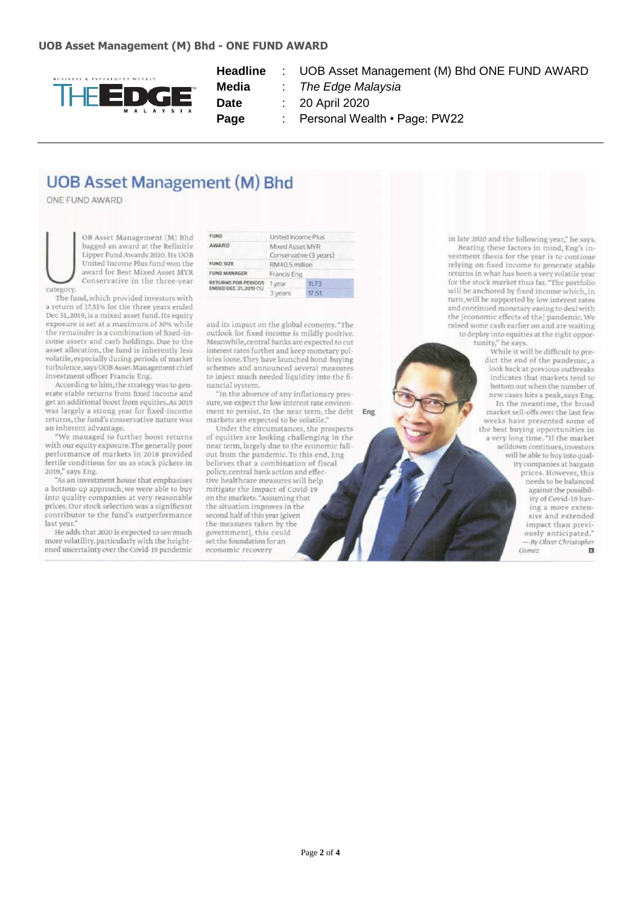

**Headline** : UOB Asset Management (M) Bhd ONE FUND AWARD

**Media** : *The Edge Malaysia*

**Date** : 20 April 2020

Page : Personal Wealth • Page: PW22

Eng

## **UOB Asset Management (M) Bhd**

ONE FUND AWARD

OB Asset Management (M) Bhd bagged an award at the Refinitiv Lipper Fund Awards 2020. Its UOB United Income Plus fund won the award for Best Mixed Asset MYR Conservative in the three-year categor

The fund, which provided investors with a return of 17.51% for the three years ended Dec 31, 2019, is a mixed asset fund. Its equity exposure is set at a maximum of 30% while the remainder is a combination of fixed-income assets and cash holdings. Due to the asset allocation, the fund is inherently less volatile, especially during periods of market turbulence, says UOB Asset Management chief investment officer Francis Eng.

According to him, the strategy was to generate stable returns from fixed income and get an additional boost from equities. As 2019 was largely a strong year for fixed-income returns, the fund's conservative nature was an inherent advantage.

'We managed to further boost returns with our equity exposure. The generally poor performance of markets in 2018 provided fertile conditions for us as stock pickers in 2019," says Eng.

"As an investment house that emphasises a bottom-up approach, we were able to buy into quality companies at very reasonable prices. Our stock selection was a significant contributor to the fund's outperformance last year.

He adds that 2020 is expected to see much more volatility, particularly with the heightened uncertainty over the Covid-19 pandemic

| <b>FUND</b>                                   | United Income Plus    |       |  |
|-----------------------------------------------|-----------------------|-------|--|
| AWARD                                         | Mixed Asset MYR       |       |  |
|                                               | Conservative (3 years |       |  |
| <b>FUND SIZE</b>                              | RM40.5 million        |       |  |
| <b>FUND MANAGER</b>                           | Francis Eng           |       |  |
| RETURNS FOR PERIODS<br>ENDED DEC 31, 2019 (%) | 1 year                | 11.73 |  |
|                                               | 3 years               | 17.51 |  |
|                                               |                       |       |  |

and its impact on the global economy. "The outlook for fixed income is mildly positive. Meanwhile, central banks are expected to cut interest rates further and keep monetary policies loose. They have launched bond-buying schemes and announced several measures to inject much needed liquidity into the financial system.

"In the absence of any inflationary pressure, we expect the low interest rate environment to persist. In the near term, the debt markets are expected to be volatile."

Under the circumstances, the prospects of equities are looking challenging in the near term, largely due to the economic fallout from the pandemic. To this end, Eng believes that a combination of fiscal policy, central bank action and effective healthcare measures will help mitigate the impact of Covid-19 on the markets. "Assuming that the situation improves in the second half of this year [given the measures taken by the government], this could set the foundation for an economic recovery

in late 2020 and the following year," he says. Bearing these factors in mind, Eng's investment thesis for the year is to continue relying on fixed income to generate stable returns in what has been a very volatile year<br>for the stock market thus far. "The portfolio will be anchored by fixed income which, in turn, will be supported by low interest rates<br>and continued monetary easing to deal with the [economic effects of the] pandemic. We raised some cash earlier on and are waiting to deploy into equities at the right opportunity," he says.

While it will be difficult to predict the end of the pandemic, a look back at previous outbreaks indicates that markets tend to bottom out when the number of new cases hits a peak, says Eng. In the meantime, the broad market sell-offs over the last few weeks have presented some of the best buying opportunities in<br>a very long time. "If the market selldown continues, investors will be able to buy into quality companies at bargain prices. However, this needs to be balanced against the possibility of Covid-19 having a more extensive and extended impact than previ-<br>ously anticipated." - By Oliver Christopher Gomez  $\mathbf{u}$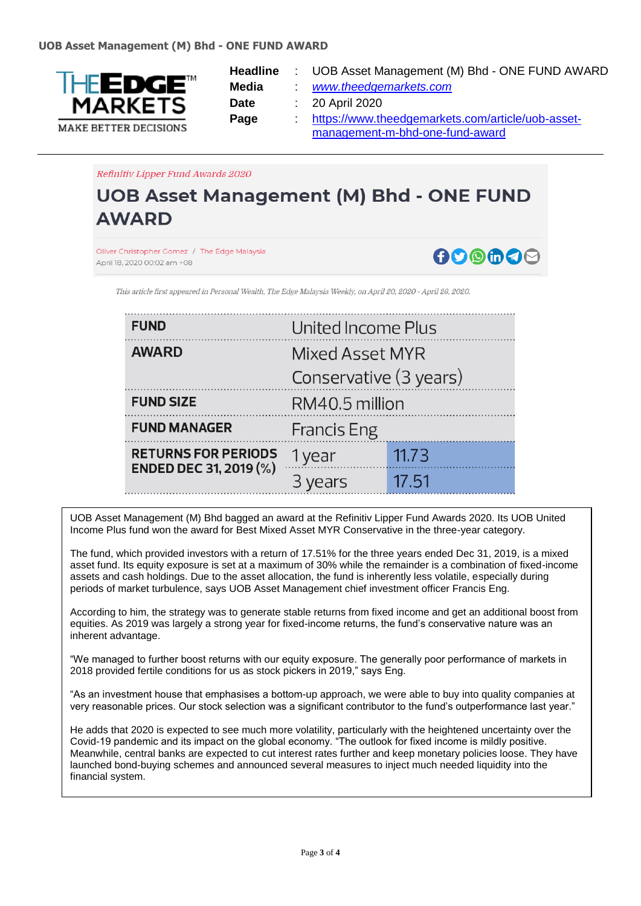

- **Headline** : UOB Asset Management (M) Bhd ONE FUND AWARD
- **Media** : *[www.theedgemarkets.com](http://www.theedgemarkets.com/)*
- **Date** : 20 April 2020

**Page** : [https://www.theedgemarkets.com/article/uob-asset](https://www.theedgemarkets.com/article/uob-asset-management-m-bhd-one-fund-award)[management-m-bhd-one-fund-award](https://www.theedgemarkets.com/article/uob-asset-management-m-bhd-one-fund-award) 

Refinitiv Lipper Fund Awards 2020

## **UOB Asset Management (M) Bhd - ONE FUND AWARD**

Oliver Christopher Gomez / The Edge Malaysia April 18, 2020 00:02 am +08

ADOMAD

This article first appeared in Personal Wealth. The Edge Malaysia Weekly, on April 20, 2020 - April 26, 2020

| <b>FUND</b>                                                 | United Income Plus     |       |  |
|-------------------------------------------------------------|------------------------|-------|--|
| <b>AWARD</b>                                                | Mixed Asset MYR        |       |  |
|                                                             | Conservative (3 years) |       |  |
| <b>FUND SIZE</b>                                            | RM40.5 million         |       |  |
| <b>FUND MANAGER</b>                                         | <b>Francis Eng</b>     |       |  |
| <b>RETURNS FOR PERIODS</b><br><b>ENDED DEC 31, 2019 (%)</b> | 1 year                 | 11.73 |  |
|                                                             | 3 years                | 17.51 |  |

UOB Asset Management (M) Bhd bagged an award at the Refinitiv Lipper Fund Awards 2020. Its UOB United Income Plus fund won the award for Best Mixed Asset MYR Conservative in the three-year category.

The fund, which provided investors with a return of 17.51% for the three years ended Dec 31, 2019, is a mixed asset fund. Its equity exposure is set at a maximum of 30% while the remainder is a combination of fixed-income assets and cash holdings. Due to the asset allocation, the fund is inherently less volatile, especially during periods of market turbulence, says UOB Asset Management chief investment officer Francis Eng.

According to him, the strategy was to generate stable returns from fixed income and get an additional boost from equities. As 2019 was largely a strong year for fixed-income returns, the fund's conservative nature was an inherent advantage.

"We managed to further boost returns with our equity exposure. The generally poor performance of markets in 2018 provided fertile conditions for us as stock pickers in 2019," says Eng.

"As an investment house that emphasises a bottom-up approach, we were able to buy into quality companies at very reasonable prices. Our stock selection was a significant contributor to the fund's outperformance last year."

He adds that 2020 is expected to see much more volatility, particularly with the heightened uncertainty over the Covid-19 pandemic and its impact on the global economy. "The outlook for fixed income is mildly positive. Meanwhile, central banks are expected to cut interest rates further and keep monetary policies loose. They have launched bond-buying schemes and announced several measures to inject much needed liquidity into the financial system.